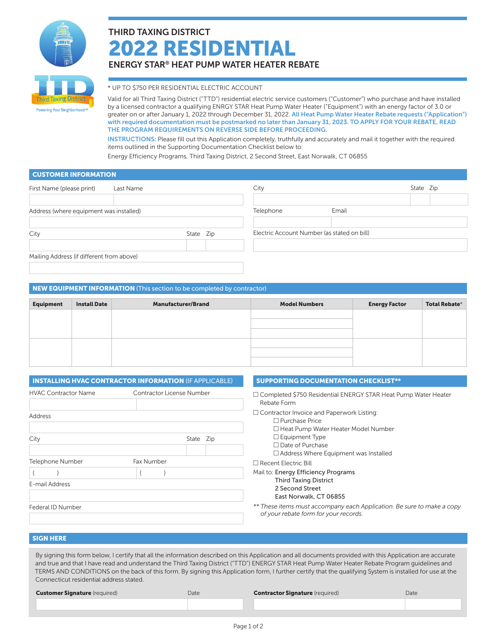

Powering Your Neighborhood<sup>sw</sup>

# THIRD TAXING DISTRICT 2022 RESIDENTIAL ENERGY STAR® HEAT PUMP WATER HEATER REBATE

## \* UP TO \$750 PER RESIDENTIAL ELECTRIC ACCOUNT

Valid for all Third Taxing District ("TTD") residential electric service customers ("Customer") who purchase and have installed by a licensed contractor a qualifying ENRGY STAR Heat Pump Water Heater ("Equipment") with an energy factor of 3.0 or greater on or after January 1, 2022 through December 31, 2022. All Heat Pump Water Heater Rebate requests ("Application") with required documentation must be postmarked no later than January 31, 2023. TO APPLY FOR YOUR REBATE, READ THE PROGRAM REQUIREMENTS ON REVERSE SIDE BEFORE PROCEEDING.

INSTRUCTIONS: Please fill out this Application completely, truthfully and accurately and mail it together with the required items outlined in the Supporting Documentation Checklist below to:

Energy Efficiency Programs, Third Taxing District, 2 Second Street, East Norwalk, CT 06855

## CUSTOMER INFORMATION

| First Name (please print)                 | Last Name |           | City                                        |       | State Zip |  |
|-------------------------------------------|-----------|-----------|---------------------------------------------|-------|-----------|--|
|                                           |           |           |                                             |       |           |  |
| Address (where equipment was installed)   |           |           | Telephone                                   | Email |           |  |
|                                           |           |           |                                             |       |           |  |
| City                                      |           | State Zip | Electric Account Number (as stated on bill) |       |           |  |
|                                           |           |           |                                             |       |           |  |
| Mailing Address (if different from above) |           |           |                                             |       |           |  |
|                                           |           |           |                                             |       |           |  |

## NEW EQUIPMENT INFORMATION (This section to be completed by contractor)

| <b>Equipment</b> | <b>Install Date</b> | <b>Manufacturer/Brand</b> | <b>Model Numbers</b> | <b>Energy Factor</b> | Total Rebate* |
|------------------|---------------------|---------------------------|----------------------|----------------------|---------------|
|                  |                     |                           |                      |                      |               |
|                  |                     |                           |                      |                      |               |
|                  |                     |                           |                      |                      |               |
|                  |                     |                           |                      |                      |               |
|                  |                     |                           |                      |                      |               |

|                             | <b>INSTALLING HVAC CONTRACTOR INFORMATION (IF APPLICABLE)</b> | <b>SUPPORTING DOCUMENTATION CHECKLIST**</b>                                                                             |
|-----------------------------|---------------------------------------------------------------|-------------------------------------------------------------------------------------------------------------------------|
| <b>HVAC Contractor Name</b> | Contractor License Number                                     | □ Completed \$750 Residential ENERGY STAR Heat Pump Water Heater<br>Rebate Form                                         |
| Address                     |                                                               | $\Box$ Contractor Invoice and Paperwork Listing:<br>$\Box$ Purchase Price<br>$\Box$ Heat Pump Water Heater Model Number |
| City                        | State Zip                                                     | $\Box$ Equipment Type<br>$\Box$ Date of Purchase<br>$\Box$ Address Where Equipment was Installed                        |
| Telephone Number            | Fax Number                                                    | $\Box$ Recent Electric Bill                                                                                             |
| E-mail Address              |                                                               | Mail to: Energy Efficiency Programs<br><b>Third Taxing District</b><br>2 Second Street<br>East Norwalk, CT 06855        |
| Federal ID Number           |                                                               | ** These items must accompany each Application. Be sure to make a copy<br>of your rebate form for your records.         |

## SIGN HERE

By signing this form below, I certify that all the information described on this Application and all documents provided with this Application are accurate and true and that I have read and understand the Third Taxing District ("TTD") ENERGY STAR Heat Pump Water Heater Rebate Program guidelines and TERMS AND CONDITIONS on the back of this form. By signing this Application form, I further certify that the qualifying System is installed for use at the Connecticut residential address stated.

Customer Signature (required) **Date** Date Contractor Signature (required) Date Contractor Signature (required) Date